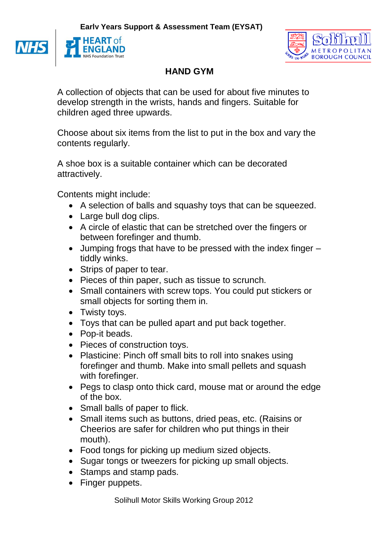**Early Years Support & Assessment Team (EYSAT)**



**NH** 



## **HAND GYM**

A collection of objects that can be used for about five minutes to develop strength in the wrists, hands and fingers. Suitable for children aged three upwards.

Choose about six items from the list to put in the box and vary the contents regularly.

A shoe box is a suitable container which can be decorated attractively.

Contents might include:

- A selection of balls and squashy toys that can be squeezed.
- Large bull dog clips.
- A circle of elastic that can be stretched over the fingers or between forefinger and thumb.
- Jumping frogs that have to be pressed with the index finger tiddly winks.
- Strips of paper to tear.
- Pieces of thin paper, such as tissue to scrunch.
- Small containers with screw tops. You could put stickers or small objects for sorting them in.
- Twisty toys.
- Toys that can be pulled apart and put back together.
- Pop-it beads.
- Pieces of construction toys.
- Plasticine: Pinch off small bits to roll into snakes using forefinger and thumb. Make into small pellets and squash with forefinger.
- Pegs to clasp onto thick card, mouse mat or around the edge of the box.
- Small balls of paper to flick.
- Small items such as buttons, dried peas, etc. (Raisins or Cheerios are safer for children who put things in their mouth).
- Food tongs for picking up medium sized objects.
- Sugar tongs or tweezers for picking up small objects.
- Stamps and stamp pads.
- Finger puppets.